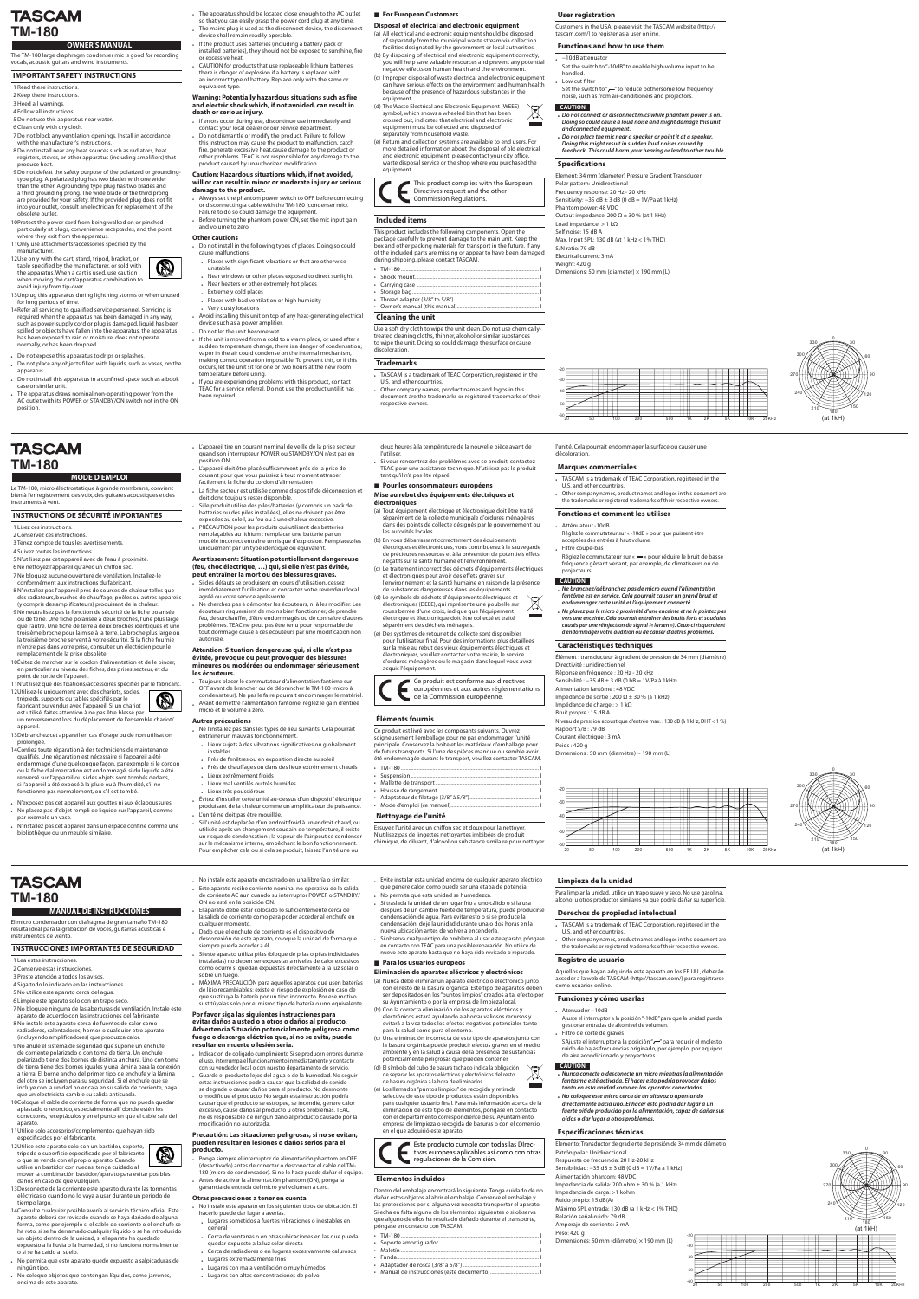## **TASCAM TM-180**

### **OWNER'S MANUAL**

The TM-180 large diaphragm condenser mic is good for recording vocals, acoustic guitars and wind instruments.

### **IMPORTANT SAFETY INSTRUCTIONS**

- 1 Read these instructions
- 2 Keep these instructions.
- 3 Heed all warnings. 4 Follow all instructions.
- 5 Do not use this apparatus near water.
- 6 Clean only with dry cloth.
- 7 Do not block any ventilation openings. Install in accordance with the manufacturer's instructions
- 8 Do not install near any heat sources such as radiators, heat registers, stoves, or other apparatus (including amplifiers) that produce heat.
- 9 Do not defeat the safety purpose of the polarized or grounding-<br>type plug. A polarized plug has two blades with one wider than the other. A grounding type plug has two blades and a third grounding prong. The wide blade or the third prong are provided for your safety. If the provided plug does not fit into your outlet, consult an electrician for replacement of the obsolete outlet.
- 10Protect the power cord from being walked on or pinched particularly at plugs, convenience receptacles, and the point where they exit from the apparatus

### 11Only use attachments/accessories specified by the .manufacturer

- 12Use only with the cart, stand, tripod, bracket, or table specified by the manufacturer, or sold with the apparatus. When a cart is used, use caution when moving the cart/apparatus combination to avoid injury from tip-over.
- 13 Unplug this apparatus during lightning storms or when unused for long periods of time.
- 14 Refer all servicing to qualified service personnel. Servicing is required when the apparatus has been damaged in any way, such as power-supply cord or plug is damaged, liquid has been spilled or objects have fallen into the apparatus, the apparatus has been exposed to rain or moisture, does not operate normally, or has been dropped.
- . Do not expose this apparatus to drips or splashes.
- Do not place any objects filled with liquids, such as vases, on the .apparatus
- Do not install this apparatus in a confined space such as a book case or similar unit.
- The apparatus draws nominal non-operating power from the AC outlet with its POWER or STANDBY/ON switch not in the ON .position
- The apparatus should be located close enough to the AC outlet so that you can easily grasp the power cord plug at any time. . The mains plug is used as the disconnect device, the disconnect
- device shall remain readily operable. If the product uses batteries (including a battery pack or installed batteries), they should not be exposed to sunshine, fire
- or excessive heat. CAUTION for products that use replaceable lithium batteries: there is danger of explosion if a battery is replaced with an incorrect type of battery. Replace only with the same or equivalent type

### **Warning: Potentially hazardous situations such as fire** and electric shock which, if not avoided, can result in death or serious injury.

- . If errors occur during use, discontinue use immediately and contact your local dealer or our service department.
- Do not dismantle or modify the product. Failure to follow this instruction may cause the product to malfunction, catch fire, generate excessive heat, cause damage to the product or other problems. TEAC is not responsible for any damage to the product caused by unauthorized modification.

### **Caution: Hazardous situations which, if not avoided,** will or can result in minor or moderate injury or serious damage to the product.

- . Always set the phantom power switch to OFF before connecting or disconnecting a cable with the TM-180 (condenser mic). Failure to do so could damage the equipment
- Before turning the phantom power ON, set the mic input gain and volume to zero.

### **Other** cautions

- Do not install in the following types of places. Doing so could cause malfunctions
- Places with significant vibrations or that are otherwise unstable
- sulfuenzy hear windows or other places exposed to direct sunlight
- places heaters or other extremely hot places
- **Extremely cold places**
- Places with bad ventilation or high humidity **.** Very dusty locations
- electrical installing this unit on top of any heat-generating electrical device such as a power amplifier
- . Do not let the unit become wet.
- a If the unit is moved from a cold to a warm place, or used after a sudden temperature change, there is a danger of condensation; vapor in the air could condense on the internal mechanism, making correct operation impossible. To prevent this, or if this occurs, let the unit sit for one or two hours at the new room temperature before using.
- If you are experiencing problems with this product, contact TEAC for a service referral. Do not use the product until it has been repaired

### **Exercise European Customers**

### **Disposal of electrical and electronic equipment**

- (a) All electrical and electronic equipment should be disposed of separately from the municipal waste stream via collection facilities designated by the government or local authorities.
- (b) By disposing of electrical and electronic equipment correctly, you will help save valuable resources and prevent any potential negative effects on human health and the environment.
- (c) Improper disposal of waste electrical and electronic equipment can have serious effects on the environment and human health because of the presence of hazardous substances in the .equipment
- (d) The Waste Electrical and Electronic Equipment (WEEE) symbol, which shows a wheeled bin that has been crossed out, indicates that electrical and electronic equipment must be collected and disposed of separately from household waste.
- (e) Return and collection systems are available to end users. For more detailed information about the disposal of old electrical and electronic equipment, please contact your city office, waste disposal service or the shop where you purchased the .equipment

This product complies with the European Directives request and the other Commission Regulations.

### **included** items

This product includes the following components. Open the package carefully to prevent damage to the main unit. Keep the box and other packing materials for transport in the future. If any of the included parts are missing or appear to have been damaged during shipping, please contact TASCAM.

- $.180$
- . Shock mount. • Carrying case.
- . Storage bag.
- . Thread adapter (3/8" to 5/8")
- . Owner's manual (this manual).

### **Cleaning the unit**

tant qu'il n'a pas été réparé.

les autorités locales.

treated cleaning cloths, thinner, alcohol or similar substances Use a soft dry cloth to wipe the unit clean. Do not use chemicallyto wipe the unit. Doing so could damage the surface or cause .discoloration

un renversement lors du déplacement de l'ensemble chariot/ .appareil

13Débranchez cet appareil en cas d'orage ou de non utilisation .prolongée

- 14 Confiez toute réparation à des techniciens de maintenance qualifiés. Une réparation est nécessaire si l'appareil a été endommagé d'une quelconque façon, par exemple si le cordon ou la fiche d'alimentation est endommagé, si du liquide a été renversé sur l'appareil ou si des objets sont tombés dedans, si l'appareil a été exposé à la pluie ou à l'humidité, s'il ne fonctionne pas normalement, ou s'il est tombé.
- . N'exposez pas cet appareil aux gouttes ni aux éclaboussures. . Ne placez pas d'objet rempli de liquide sur l'appareil, comme par exemple un vase
- . N'installez pas cet appareil dans un espace confiné comme une bibliothèque ou un meuble similaire.

condensateur). Ne pas le faire pourrait endommager le matérie **AS** Avant de mettre l'alimentation fantôme, réglez le gain d'entrée micro et le volume à zéro.

### **Autres précautions**

- ble l'installez pas dans les types de lieu suivants. Cela pourrait entraîner un mauvais fonctionnement.
- blieux sujets à des vibrations significatives ou globalement instables
- . Près de fenêtres ou en exposition directe au soleil . Près de chauffages ou dans des lieux extrêmement chauds
- Lieux extrêmement froids
- Lieux mal ventilés ou très humides
- poussiéreux très Lieux•
- . Évitez d'installer cette unité au-dessus d'un dispositif électrique produisant de la chaleur comme un amplificateur de puissance.
- . L'unité ne doit pas être mouillée.

ON no esté en la posición ON.

siempre pueda acceder a él.

cualquier momento.

sobre un fuego

. Si l'unité est déplacée d'un endroit froid à un endroit chaud, ou utilisée après un changement soudain de température, il existe un risque de condensation ; la vapeur de l'air peut se condenser sur le mécanisme interne, empêchant le bon fonctionnement. Pour empêcher cela ou si cela se produit, laissez l'unité une ou

e El aparato debe estar colocado lo suficientemente cerca de la salida de corriente como para poder acceder al enchufe en

desconexión de este aparato, coloque la unidad de forma que

Si este aparato utiliza pilas (bloque de pilas o pilas individuales instaladas) no deben ser expuestas a niveles de calor excesivos como ocurre si quedan expuestas directamente a la luz solar o

. MÁXIMA PRECAUCIÓN para aquellos aparatos que usen baterías de litio recambiables: existe el riesgo de explosión en caso de que sustituya la batería por un tipo incorrecto. Por ese motivo sustitúyalas solo por el mismo tipo de batería o uno equivalente.

Dado que el enchufe de corriente es el dispositivo de

Por favor siga las siguientes instrucciones para

de la Commission européenne.

### **Éléments fournis**

acquis l'équipement

Ce produit est livré avec les composants suivants. Ouvrez soigneusement l'emballage pour ne pas endommager l'unité principale. Conservez la boîte et les matériaux d'emballage pour de futurs transports. Si l'une des pièces manque ou semble avoir été endommagée durant le transport, veuillez contacter TASCAM.

Ce produit est conforme aux directives européennes et aux autres réglementations

- $\cdot$  TM-180
- Suspension ...
- . Mallette de transport ... . Housse de rangement.
- . Adaptateur de filetage (3/8" à 5/8")
- Mode d'emploi (ce manuel)...

### **Nettoyage de l'unité**

Essuyez l'unité avec un chiffon sec et doux pour la nettoyer. N'utilisez pas de lingettes nettoyantes imbibées de produit chimique, de diluant, d'alcool ou substance similaire pour nettoyer Impédance de sortie : 200 Ω  $\pm$  30 % (à 1 kHz) lmpédance de charge : > 1 kΩ Bruit propre : 15 dB A Niveau de pression acoustique d'entrée max. : 130 dB (à 1 kHz, DHT < 1 %) Rapport S/B: 79 dB Courant électrique : 3 mA Poids: 420 q

Dimensions : 50 mm (diamètre) ~ 190 mm (L)

- Si des défauts se produisent en cours d'utilisation, cessez immédiatement l'utilisation et contactez votre revendeur local agréé ou votre service aprèsvente
- Les .modifier les .modifiers .modifier les députeurs .modifier des modifiers des démonters des anges des modifiers  $\overline{C}$ écouteurs risqueraient de moins bien fonctionner, de prendre feu. de surchauffer, d'être endommagés ou de connaître d'autres problèmes. TEAC ne peut pas être tenu pour responsable de tout dommage causé à ces écouteurs par une modification non .autorisée

### Attention: Situation dangereuse qui, si elle n'est pas évitée, provoque ou peut provoquer des blessures mineures ou modérées ou endommager sérieusement les écouteurs.

. Toujours placer le commutateur d'alimentation fantôme sur OFF avant de brancher ou de débrancher le TM-180 (micro à

deux heures à la température de la nouvelle pièce avant de l'utiliser. Si vous rencontrez des problèmes avec ce produit, contactez

TEAC pour une assistance technique. N'utilisez pas le produit

(a) Tout équipement électrique et électronique doit être traité séparément de la collecte municipale d'ordures ménagères dans des points de collecte désignés par le gouvernement ou

électriques et électroniques, vous contribuerez à la sauvegarde de précieuses ressources et à la prévention de potentiels effets

(c) Le traitement incorrect des déchets d'équipements électriques

l'environnement et la santé humaine en raison de la présence

(b) En vous débarrassant correctement des équipements

négatifs sur la santé humaine et l'environnement

et électroniques peut avoir des effets graves sur

séparément des déchets ménagers.

de substances dangereuses dans les équipements. et électriques équipements'd déchets de symbole Le) d( électroniques (DEEE), qui représente une poubelle sur roues barrée d'une croix, indique que l'équipement électrique et électronique doit être collecté et traité

(e) Des systèmes de retour et de collecte sont disponibles pour l'utilisateur final. Pour des informations plus détaillées sur la mise au rebut des vieux équipements électriques et électroniques, veuillez contacter votre mairie, le service d'ordures ménagères ou le magasin dans lequel vous avez

trépieds, supports ou tables spécifiés par le fabricant ou vendus avec l'appareil. Si un chariot est utilisé, faites attention à ne pas être blessé pai

### **Trademarks**

- TASCAM is a trademark of TEAC Corporation, registered in the U.S. and other countries.
- Other company names, product names and logos in this document are the trademarks or registered trademarks of their respective owners.

**User registration** 

Customers in the USA, please visit the TASCAM website (http:// tascam.com/) to register as a user online.

### **Functions and how to use them**

- -10dB attenuator
- Set the switch to "-10dB" to enable high-volume input to be .handled
- Low cut filter
- Set the switch to " $-$ " to reduce bothersome low frequency noise, such as from air-conditioners and projectors.

#### Precautión: Las situaciones peligrosas, si no se evitan, pueden resultar en lesiones o daños serios para el **.producto**

- Ponga siempre el interruptor de alimentación phantom en OFF
- . Antes de activar la alimentación phantom (ON), ponga la
- ganancia de entrada del micro y el volumen a cero.

### **Otras precauciones a tener en cuenta**

• Lugares extremadamente fríos

• Lugares con mala ventilación o muy húmedos • Lugares con altas concentraciones de polvo

- No instale este aparato en los siguientes tipos de ubicación. El hacerlo puede dar lugar a averías.
- Lugares sometidos a fuertes vibraciones o inestables en general
- u Cerca de ventanas o en otras ubicaciones en las que pueda quedar expuesto a la luz solar directa . Cerca de radiadores o en lugares excesivamente calurosos

**électroniques**

**européens ensommateurs européens Mise au rebut des équipements électriques et** 

- *alimentación la mientras micro un desconecte o conecte Nunca• daños provocar podría esto hacer El .activada esté fantasma* tanto en esta unidad como en los aparatos conectados.
- **.** No coloque este micro cerca de un altavoz o apuntando directamente hacia uno. El hacer esto podría dar lugar a un fuerte pitido producido por la alimentación, capaz de dañar sus  $o$ ídos o dar lugar a otros problemas.

### **Especificaciones técnicas**

Elemento: Transductor de gradiente de presión de 34 mm de diámetro Patrón polar: Unidireccional Respuesta de frecuencia: 20 Hz-20 kHz Sensibilidad:  $-35$  dB  $\pm$  3 dB (0 dB = 1V/Pa a 1 kHz) Alimentación phantom: 48 VDC Impedancia de salida: 200 ohm  $\pm$  30 % (a 1 kHz) lmpedancia de carga: >1 kohm Ruido propio: 15 dB(A) Máximo SPL entrada: 130 dB (a 1 kHz < 1% THD) Relación señal-ruido: 79 dB Amperaje de corriente: 3 mA Peso: 420 g Dimensiones: 50 mm (diámetro)  $\times$  190 mm (L)  $-20$  $-30$ 

> $-40$ -50 -60

### **incluidos Elementos**

Dentro del embalaje encontrará lo siguiente. Tenga cuidado de no dañar estos objetos al abrir el embalaje. Conserve el embalaje y las protecciones por si alguna vez necesita transportar el aparato. Si echa en falta alguno de los elementos siguientes o si observa que alguno de ellos ha resultado dañado durante el transporte, póngase en contacto con TASCAM.

- $\cdot$  TM-180 • Soporte amortiguador ....
- Maletín
- Funda.
- . Adaptador de rosca (3/8" a 5/8").
- . Manual de instrucciones (este documento).

### **Limpieza de la unidad**

Para limpiar la unidad, utilice un trapo suave y seco. No use gasolina, alcohol u otros productos similares ya que podría dañar su superficie.

#### **Derechos de propiedad intelectual**

- TASCAM is a trademark of TEAC Corporation, registered in the U.S. and other countries.
- Other company names, product names and logos in this document are the trademarks or registered trademarks of their respective owners.

### **CAUTION**

- **.** Do not connect or disconnect mics while phantom power is on. *Doing so could cause a loud noise and might damage this unit*  $and$  connected equipment.
- **.** Do not place the mic near a speaker or point it at a speaker. *Doing this might result in sudden loud noises caused by*
- feedback. This could harm your hearing or lead to other trouble.

### **Specifications**

Element: 34 mm (diameter) Pressure Gradient Transducer Polar pattern: Unidirectional Frequency response: 20 Hz - 20 kHz Sensitivity:  $-35 dB ± 3 dB (0 dB = 1V/Pa at 1 kHz)$ Phantom power: 48 VDC Output impedance: 200  $\Omega$  ± 30 % (at 1 kHz) Load impedance: > 1 kΩ Self noise: 15 dB A Max. Input SPL: 130 dB (at 1 kHz  $<$  1% THD) S/N ratio: 79 dB Electrical current: 3mA Weight: 420 g Dimensions: 50 mm (diameter)  $\times$  190 mm (L)

l'unité. Cela pourrait endommager la surface ou causer une

. TASCAM is a trademark of TEAC Corporation, registered in the

Réglez le commutateur sur « -10dB » pour que puissent être

. Other company names, product names and logos in this document are the trademarks or registered trademarks of their respective owners.

Réglez le commutateur sur «  $r$  » pour réduire le bruit de basse fréquence gênant venant, par exemple, de climatiseurs ou de

*Re branchez/débranchez pas de micro quand l'alimentation* fantôme est en service. Cela pourrait causer un grand bruit et endommager cette unité et l'équipement connecté.

**.** Ne placez pas le micro à proximité d'une enceinte et ne le pointez pas vers une enceinte. Cela pourrait entraîner des bruits forts et soudains *causés par une réinjection du signal (« larsen »). Ceux-ci risqueraient* d'endommager votre audition ou de causer d'autres problèmes.

Élément : transducteur à gradient de pression de 34 mm (diamètre)

.décoloration

**commerciales Marques**

**Fonctions et comment les utiliser** 

acceptées des entrées à haut volume

.projecteurs **CAUTION**

**techniques Caractéristiques**

Réponse en fréquence : 20 Hz - 20 kHz Sensibilité:  $-35 dB \pm 3 dB$  (0 bB = 1V/Pa à 1kHz)

Directivité : unidirectionnel

Alimentation fantôme : 48 VDC

U.S. and other countries

Atténuateur-10dB

Filtre coupe-bas

### **usuario de Registro**

Aquellos que hayan adquirido este aparato en los EE.UU., deberán acceder a la web de TASCAM (http://tascam.com/) para registrarse como usuarios online.

### **Funciones y cómo usarlas**

+ Atenuador-10dB

Aiuste el interruptor a la posición "-10dB" para que la unidad pueda gestionar entradas de alto nivel de volumen

- Filtro de corte de graves
- SAjuste el interruptor a la posición " " para reducir el molesto ruido de bajas frecuencias originado, por ejemplo, por equipos de aire acondicionado y proyectores.

### **CAUTION**



## **TASCAM TM-180**

### **INANUAL DE INSTRUCCIONES**

El micro condensador con diafragma de gran tamaño TM-180 resulta ideal para la grabación de voces, guitarras acústicas e instrumentos de viento.

### **INSTRUCCIONES IMPORTANTES DE SEGURIDAD**

- 1 Lea estas instrucciones
- 2 Conserve estas instrucciones
- .3 Preste atención a todos los avisos
- 4 Siga todo lo indicado en las instrucciones.
- 5 No utilice este aparato cerca del aqua.
- 6 Limpie este aparato solo con un trapo seco.
- 7 No bloquee ninguna de las aberturas de ventilación. Instale este aparato de acuerdo con las instrucciones del fabricante. 8 No instale este aparato cerca de fuentes de calor como
- radiadores, calentadores, hornos o cualquier otro aparato (incluyendo amplificadores) que produzca calor. 9 No anule el sistema de seguridad que supone un enchufe
- de corriente polarizado o con toma de tierra. Un enchufe polarizado tiene dos bornes de distinta anchura. Uno con toma de tierra tiene dos bornes iguales y una lámina para la conexión a tierra. El borne ancho del primer tipo de enchufe y la lámina del otro se incluyen para su seguridad. Si el enchufe que se incluye con la unidad no encaja en su salida de corriente, haga que un electricista cambie su salida anticuada.
- 10 Coloque el cable de corriente de forma que no pueda quedar aplastado o retorcido, especialmente allí donde estén los conectores, receptáculos y en el punto en que el cable sale del aparato
- 11 Utilice solo accesorios/complementos que hayan sido especificados por el fabricante.
- 12Utilice este aparato solo con un bastidor, soporte, trípode o superficie especificado por el fabricante o que se venda con el propio aparato. Cuando utilice un bastidor con ruedas, tenga cuidado al

mover la combinación bastidor/aparato para evitar posibles daños en caso de que vuelquen.

- 13Desconecte de la corriente este aparato durante las tormentas eléctricas o cuando no lo vaya a usar durante un periodo de tiempo largo.
- 14 Consulte cualquier posible avería al servicio técnico oficial. Este aparato deberá ser revisado cuando se haya dañado de alguna forma, como por ejemplo si el cable de corriente o el enchufe se ha roto, si se ha derramado cualquier líquido o se ha introducido un objeto dentro de la unidad, si el aparato ha quedado expuesto a la lluvia o la humedad, si no funciona normalmente o si se ha caído al suelo
- . No permita que este aparato quede expuesto a salpicaduras de ningún tipo.
- No coloque objetos que contengan líquidos, como jarrones, encima de este aparato.
- . No instale este aparato encastrado en una librería o similar. . Este aparato recibe corriente nominal no operativa de la salida de corriente AC aun cuando su interruptor POWER o STANDBY/ • Evite instalar esta unidad encima de cualquier aparato eléctrico que genere calor, como puede ser una etapa de potencia.
	- . No permita que esta unidad se humedezca.
	- usa la unidad de un lugar frío a uno cálido o si la usa después de un cambio fuerte de temperatura, puede producirse condensación de agua. Para evitar esto o si se produce la condensación, deje la unidad durante una o dos horas en la nueva ubicación antes de volver a encenderla.
	- Si observa cualquier tipo de problema al usar este aparato, póngase en contacto con TEAC para una posible reparación. No utilice de nuevo este aparato hasta que no haya sido revisado o reparado.

### **example 2 Para los usuarios europeos**

### **Eliminación de aparatos eléctricos y electrónicos**

- (a) Nunca debe eliminar un aparato eléctrico o electrónico junto con el resto de la basura orgánica. Este tipo de aparatos deben ser depositados en los "puntos limpios" creados a tal efecto por su Ayuntamiento o por la empresa de limpieza local.
- (b) Con la correcta eliminación de los aparatos eléctricos y electrónicos estará ayudando a ahorrar valiosos recursos y evitará a la vez todos los efectos negativos potenciales tanto para la salud como para el entorno.
- (c) Una eliminación incorrecta de este tipo de aparatos junto con la basura orgánica puede producir efectos graves en el medio ambiente y en la salud a causa de la presencia de sustancias potencialmente peligrosas que pueden contener.
- (d) El símbolo del cubo de basura tachado indica la obligación  $\boxtimes$ de senarar los aparatos eléctricos y electrónicos del resto de basura orgánica a la hora de eliminarlos.
- (e) Los llamados "puntos limpios" de recogida y retirada selectiva de este tipo de productos están disponibles para cualquier usuario final. Para más información acerca de la eliminación de este tipo de elementos, póngase en contacto con el departamento correspondiente de su Ayuntamiento, empresa de limpieza o recogida de basuras o con el comercio en el que adquirió este aparato.

Este producto cumple con todas las DIrec-<br>tivas europeas aplicables así como con otras regulaciones de la Comisión.





90 120 0 30 60 150 180 270 300 330 240 210

## **TASCAM TM-180**

### **MODE D'EMPLOI**

Le TM-180, micro électrostatique à grande membrane, convient bien à l'enregistrement des voix, des guitares acoustiques et des instruments à vent

### **INSTRUCTIONS DE SÉCURITÉ IMPORTANTES**

- 1 Lisez ces instructions
- 2 Conservez ces instructions
- 3 Tenez compte de tous les avertissements.
- 4 Suivez toutes les instructions.
- 5 N'utilisez pas cet appareil avec de l'eau à proximité 6 Ne nettoyez l'appareil qu'ayec un chiffon sec
- 7 Ne bloquez aucune ouverture de ventilation. Installez-le conformément aux instructions du fabricant 8 N'installez pas l'appareil près de sources de chaleur telles que
- des radiateurs, bouches de chauffage, poêles ou autres appareils (v compris des amplificateurs) produisant de la chaleur. 9 Ne neutralisez pas la fonction de sécurité de la fiche polarisée ou de terre. Une fiche polarisée a deux broches, l'une plus large que l'autre. Une fiche de terre a deux broches identiques et une troisième broche pour la mise à la terre. La broche plus large ou
- la troisième broche servent à votre sécurité. Si la fiche fournie n'entre pas dans votre prise, consultez un électricien pour le remplacement de la prise obsolète. 10 Évitez de marcher sur le cordon d'alimentation et de le pincer.
- en particulier au niveau des fiches, des prises secteur, et du point de sortie de l'appareil. 11 N'utilisez que des fixations/accessoires spécifiés par le fabricant.
- 12 Utilisez-le uniquement avec des chariots, socles.
- L'appareil tire un courant nominal de veille de la prise secteur quand son interrupteur POWER ou STANDBY/ON n'est pas en position ON.
- L'appareil doit être placé suffisamment près de la prise de courant pour que vous puissiez à tout moment attraper facilement la fiche du cordon d'alimentation bla fiche secteur est utilisée comme dispositif de déconnexion et
- doit donc toujours rester disponible. Si le produit utilise des piles/batteries (y compris un pack de batteries ou des piles installées), elles ne doivent pas être
- exposées au soleil, au feu ou à une chaleur excessive. . PRÉCAUTION pour les produits qui utilisent des batteries remplaçables au lithium : remplacer une batterie par un modèle incorrect entraîne un risque d'explosion. Remplacez-les uniquement par un type identique ou équivalent

### **Avertissement: Situation potentiellement dangereuse** (feu, choc électrique, ...) qui, si elle n'est pas évitée, peut entraîner la mort ou des blessures graves.



300

330

0

30

60

- (desactivado) antes de conectar o desconectar el cable del TM-<br>180 (micro de condensador). Si no lo hace puede dañar el equipo.
- evitar daños a usted o a otros o daños al producto. **Advertencia Situación potencialmente peligrosa como** fuego o descarga eléctrica que, si no se evita, puede resultar en muerte o lesión seria. ndicacion de obligado cumplimiento Si se producen errores durante el uso, interrumpa el funcionamiento inmediatamente y contacte con su vendedor local o con nuestro departamento de servicio.
- Guarde el producto lejos del agua o de la humedad. No seguir estas instrucciones podría causar que la calidad de sonido se degrade o causar daños para el producto. No desmonte o modifique el producto. No seguir esta instrucción podría causar que el producto se estropee, se incendie, genere calor excesivo, cause daños al producto u otros problemas. TEAC no es responsable de ningún daño al producto causado por la modificación no autorizada